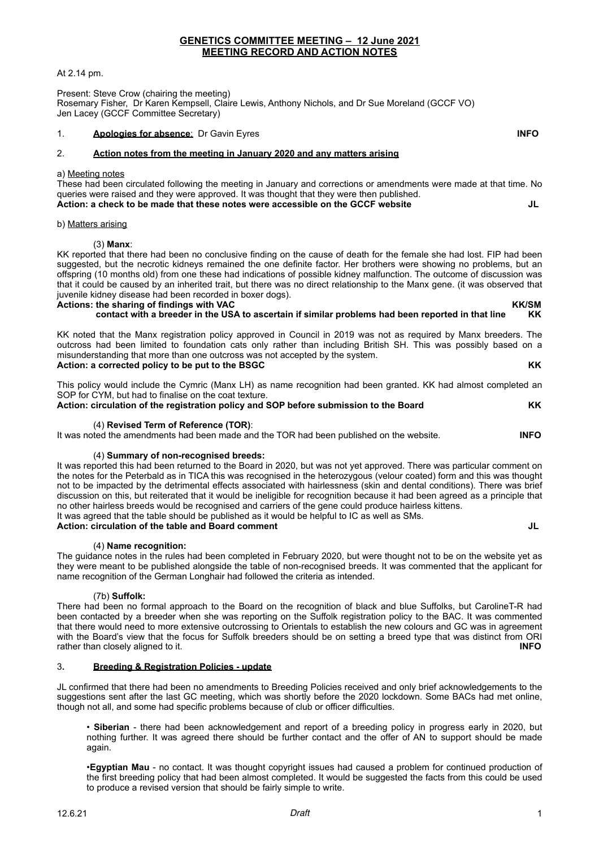## At 2.14 pm.

Present: Steve Crow (chairing the meeting) Rosemary Fisher, Dr Karen Kempsell, Claire Lewis, Anthony Nichols, and Dr Sue Moreland (GCCF VO) Jen Lacey (GCCF Committee Secretary)

## 1. **Apologies for absence**: Dr Gavin Eyres **INFO**

# 2. **Action notes from the meeting in January 2020 and any matters arising**

#### a) Meeting notes

These had been circulated following the meeting in January and corrections or amendments were made at that time. No queries were raised and they were approved. It was thought that they were then published. **Action: a check to be made that these notes were accessible on the GCCF website JL**

#### b) Matters arising

### (3) **Manx**:

KK reported that there had been no conclusive finding on the cause of death for the female she had lost. FIP had been suggested, but the necrotic kidneys remained the one definite factor. Her brothers were showing no problems, but an offspring (10 months old) from one these had indications of possible kidney malfunction. The outcome of discussion was that it could be caused by an inherited trait, but there was no direct relationship to the Manx gene. (it was observed that juvenile kidney disease had been recorded in boxer dogs).

Actions: the sharing of findings with VAC<br>Contact with a breeder in the USA to ascertain if similar problems had been reported in that line**t KK** contact with a breeder in the USA to ascertain if similar problems had been reported in that line

KK noted that the Manx registration policy approved in Council in 2019 was not as required by Manx breeders. The outcross had been limited to foundation cats only rather than including British SH. This was possibly based on a misunderstanding that more than one outcross was not accepted by the system. **Action: a corrected policy to be put to the BSGC KK**

This policy would include the Cymric (Manx LH) as name recognition had been granted. KK had almost completed an SOP for CYM, but had to finalise on the coat texture.

**Action: circulation of the registration policy and SOP before submission to the Board KK**

#### (4) **Revised Term of Reference (TOR)**:

It was noted the amendments had been made and the TOR had been published on the website. **INFO**

## (4) **Summary of non-recognised breeds:**

It was reported this had been returned to the Board in 2020, but was not yet approved. There was particular comment on the notes for the Peterbald as in TICA this was recognised in the heterozygous (velour coated) form and this was thought not to be impacted by the detrimental effects associated with hairlessness (skin and dental conditions). There was brief discussion on this, but reiterated that it would be ineligible for recognition because it had been agreed as a principle that no other hairless breeds would be recognised and carriers of the gene could produce hairless kittens. It was agreed that the table should be published as it would be helpful to IC as well as SMs.

# **Action: circulation of the table and Board comment JL**

#### (4) **Name recognition:**

The guidance notes in the rules had been completed in February 2020, but were thought not to be on the website yet as they were meant to be published alongside the table of non-recognised breeds. It was commented that the applicant for name recognition of the German Longhair had followed the criteria as intended.

#### (7b) **Suffolk:**

There had been no formal approach to the Board on the recognition of black and blue Suffolks, but CarolineT-R had been contacted by a breeder when she was reporting on the Suffolk registration policy to the BAC. It was commented that there would need to more extensive outcrossing to Orientals to establish the new colours and GC was in agreement with the Board's view that the focus for Suffolk breeders should be on setting a breed type that was distinct from ORI rather than closely aligned to it. **INFO**

# 3**. Breeding & Registration Policies - update**

JL confirmed that there had been no amendments to Breeding Policies received and only brief acknowledgements to the suggestions sent after the last GC meeting, which was shortly before the 2020 lockdown. Some BACs had met online, though not all, and some had specific problems because of club or officer difficulties.

• **Siberian** - there had been acknowledgement and report of a breeding policy in progress early in 2020, but nothing further. It was agreed there should be further contact and the offer of AN to support should be made again.

•**Egyptian Mau** - no contact. It was thought copyright issues had caused a problem for continued production of the first breeding policy that had been almost completed. It would be suggested the facts from this could be used to produce a revised version that should be fairly simple to write.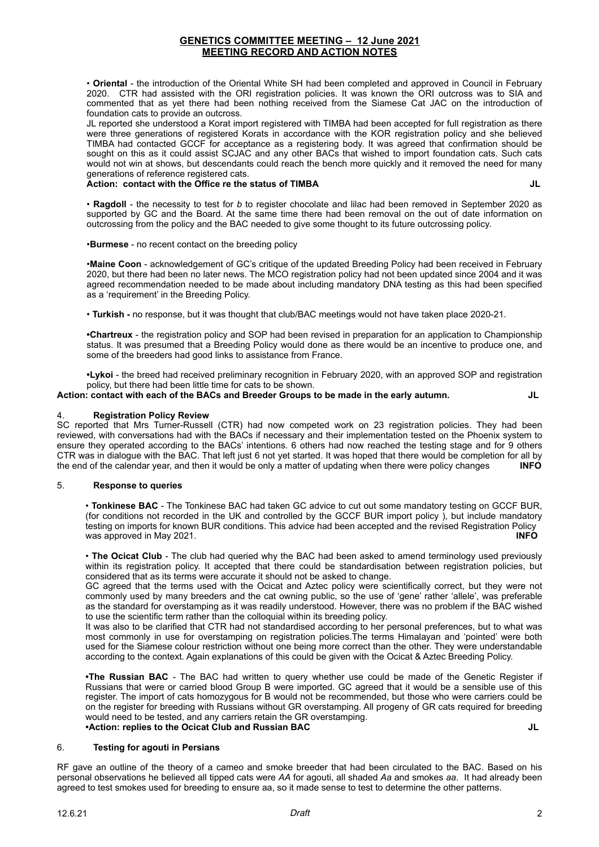• **Oriental** - the introduction of the Oriental White SH had been completed and approved in Council in February 2020. CTR had assisted with the ORI registration policies. It was known the ORI outcross was to SIA and commented that as yet there had been nothing received from the Siamese Cat JAC on the introduction of foundation cats to provide an outcross.

JL reported she understood a Korat import registered with TIMBA had been accepted for full registration as there were three generations of registered Korats in accordance with the KOR registration policy and she believed TIMBA had contacted GCCF for acceptance as a registering body. It was agreed that confirmation should be sought on this as it could assist SCJAC and any other BACs that wished to import foundation cats. Such cats would not win at shows, but descendants could reach the bench more quickly and it removed the need for many generations of reference registered cats.

### **Action: contact with the Office re the status of TIMBA JL**

• **Ragdoll** - the necessity to test for *b* to register chocolate and lilac had been removed in September 2020 as supported by GC and the Board. At the same time there had been removal on the out of date information on outcrossing from the policy and the BAC needed to give some thought to its future outcrossing policy.

•**Burmese** - no recent contact on the breeding policy

•**Maine Coon** - acknowledgement of GC's critique of the updated Breeding Policy had been received in February 2020, but there had been no later news. The MCO registration policy had not been updated since 2004 and it was agreed recommendation needed to be made about including mandatory DNA testing as this had been specified as a 'requirement' in the Breeding Policy.

• **Turkish -** no response, but it was thought that club/BAC meetings would not have taken place 2020-21.

**•Chartreux** - the registration policy and SOP had been revised in preparation for an application to Championship status. It was presumed that a Breeding Policy would done as there would be an incentive to produce one, and some of the breeders had good links to assistance from France.

**•Lykoi** - the breed had received preliminary recognition in February 2020, with an approved SOP and registration policy, but there had been little time for cats to be shown.

# **Action: contact with each of the BACs and Breeder Groups to be made in the early autumn. JL**

## 4. **Registration Policy Review**

SC reported that Mrs Turner-Russell (CTR) had now competed work on 23 registration policies. They had been reviewed, with conversations had with the BACs if necessary and their implementation tested on the Phoenix system to ensure they operated according to the BACs' intentions. 6 others had now reached the testing stage and for 9 others CTR was in dialogue with the BAC. That left just 6 not yet started. It was hoped that there would be completion for all by the end of the calendar year, and then it would be only a matter of updating when there were policy changes **INFO**

#### 5. **Response to queries**

• **Tonkinese BAC** - The Tonkinese BAC had taken GC advice to cut out some mandatory testing on GCCF BUR, (for conditions not recorded in the UK and controlled by the GCCF BUR import policy ), but include mandatory testing on imports for known BUR conditions. This advice had been accepted and the revised Registration Policy was approved in May 2021. **INFO**

• **The Ocicat Club** - The club had queried why the BAC had been asked to amend terminology used previously within its registration policy. It accepted that there could be standardisation between registration policies, but considered that as its terms were accurate it should not be asked to change.

GC agreed that the terms used with the Ocicat and Aztec policy were scientifically correct, but they were not commonly used by many breeders and the cat owning public, so the use of 'gene' rather 'allele', was preferable as the standard for overstamping as it was readily understood. However, there was no problem if the BAC wished to use the scientific term rather than the colloquial within its breeding policy.

It was also to be clarified that CTR had not standardised according to her personal preferences, but to what was most commonly in use for overstamping on registration policies.The terms Himalayan and 'pointed' were both used for the Siamese colour restriction without one being more correct than the other. They were understandable according to the context. Again explanations of this could be given with the Ocicat & Aztec Breeding Policy.

**•The Russian BAC** - The BAC had written to query whether use could be made of the Genetic Register if Russians that were or carried blood Group B were imported. GC agreed that it would be a sensible use of this register. The import of cats homozygous for B would not be recommended, but those who were carriers could be on the register for breeding with Russians without GR overstamping. All progeny of GR cats required for breeding would need to be tested, and any carriers retain the GR overstamping. **•Action: replies to the Ocicat Club and Russian BAC JL**

#### 6. **Testing for agouti in Persians**

RF gave an outline of the theory of a cameo and smoke breeder that had been circulated to the BAC. Based on his personal observations he believed all tipped cats were *AA* for agouti, all shaded *Aa* and smokes *aa*. It had already been agreed to test smokes used for breeding to ensure aa, so it made sense to test to determine the other patterns.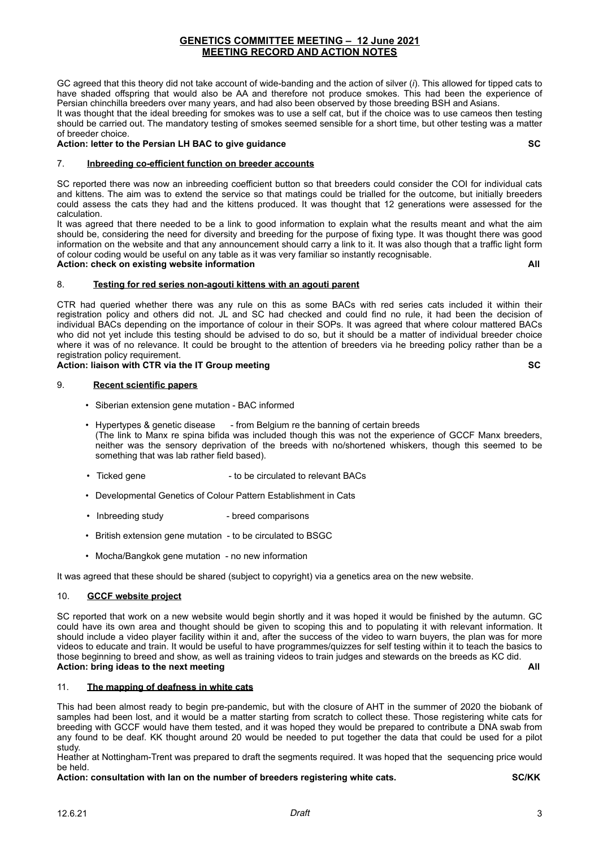GC agreed that this theory did not take account of wide-banding and the action of silver (*i*). This allowed for tipped cats to have shaded offspring that would also be AA and therefore not produce smokes. This had been the experience of Persian chinchilla breeders over many years, and had also been observed by those breeding BSH and Asians.

It was thought that the ideal breeding for smokes was to use a self cat, but if the choice was to use cameos then testing should be carried out. The mandatory testing of smokes seemed sensible for a short time, but other testing was a matter of breeder choice.

# **Action: letter to the Persian LH BAC to give guidance SC**

# 7. **Inbreeding co-efficient function on breeder accounts**

SC reported there was now an inbreeding coefficient button so that breeders could consider the COI for individual cats and kittens. The aim was to extend the service so that matings could be trialled for the outcome, but initially breeders could assess the cats they had and the kittens produced. It was thought that 12 generations were assessed for the calculation.

It was agreed that there needed to be a link to good information to explain what the results meant and what the aim should be, considering the need for diversity and breeding for the purpose of fixing type. It was thought there was good information on the website and that any announcement should carry a link to it. It was also though that a traffic light form of colour coding would be useful on any table as it was very familiar so instantly recognisable.

**Action: check on existing website information All**

# 8. **Testing for red series non-agouti kittens with an agouti parent**

CTR had queried whether there was any rule on this as some BACs with red series cats included it within their registration policy and others did not. JL and SC had checked and could find no rule, it had been the decision of individual BACs depending on the importance of colour in their SOPs. It was agreed that where colour mattered BACs who did not yet include this testing should be advised to do so, but it should be a matter of individual breeder choice where it was of no relevance. It could be brought to the attention of breeders via he breeding policy rather than be a registration policy requirement.

# **Action: liaison with CTR via the IT Group meeting SC**

# 9. **Recent scientific papers**

- Siberian extension gene mutation BAC informed
- Hypertypes & genetic disease from Belgium re the banning of certain breeds (The link to Manx re spina bifida was included though this was not the experience of GCCF Manx breeders, neither was the sensory deprivation of the breeds with no/shortened whiskers, though this seemed to be something that was lab rather field based).
- Ticked gene  $\overline{\phantom{a}}$  to be circulated to relevant BACs
- Developmental Genetics of Colour Pattern Establishment in Cats
- Inbreeding study breed comparisons
- British extension gene mutation to be circulated to BSGC
- Mocha/Bangkok gene mutation no new information

It was agreed that these should be shared (subject to copyright) via a genetics area on the new website.

# 10. **GCCF website project**

SC reported that work on a new website would begin shortly and it was hoped it would be finished by the autumn. GC could have its own area and thought should be given to scoping this and to populating it with relevant information. It should include a video player facility within it and, after the success of the video to warn buyers, the plan was for more videos to educate and train. It would be useful to have programmes/quizzes for self testing within it to teach the basics to those beginning to breed and show, as well as training videos to train judges and stewards on the breeds as KC did. **Action: bring ideas to the next meeting All**

#### 11. **The mapping of deafness in white cats**

This had been almost ready to begin pre-pandemic, but with the closure of AHT in the summer of 2020 the biobank of samples had been lost, and it would be a matter starting from scratch to collect these. Those registering white cats for breeding with GCCF would have them tested, and it was hoped they would be prepared to contribute a DNA swab from any found to be deaf. KK thought around 20 would be needed to put together the data that could be used for a pilot study.

Heather at Nottingham-Trent was prepared to draft the segments required. It was hoped that the sequencing price would be held.

**Action: consultation with Ian on the number of breeders registering white cats. SC/KK**